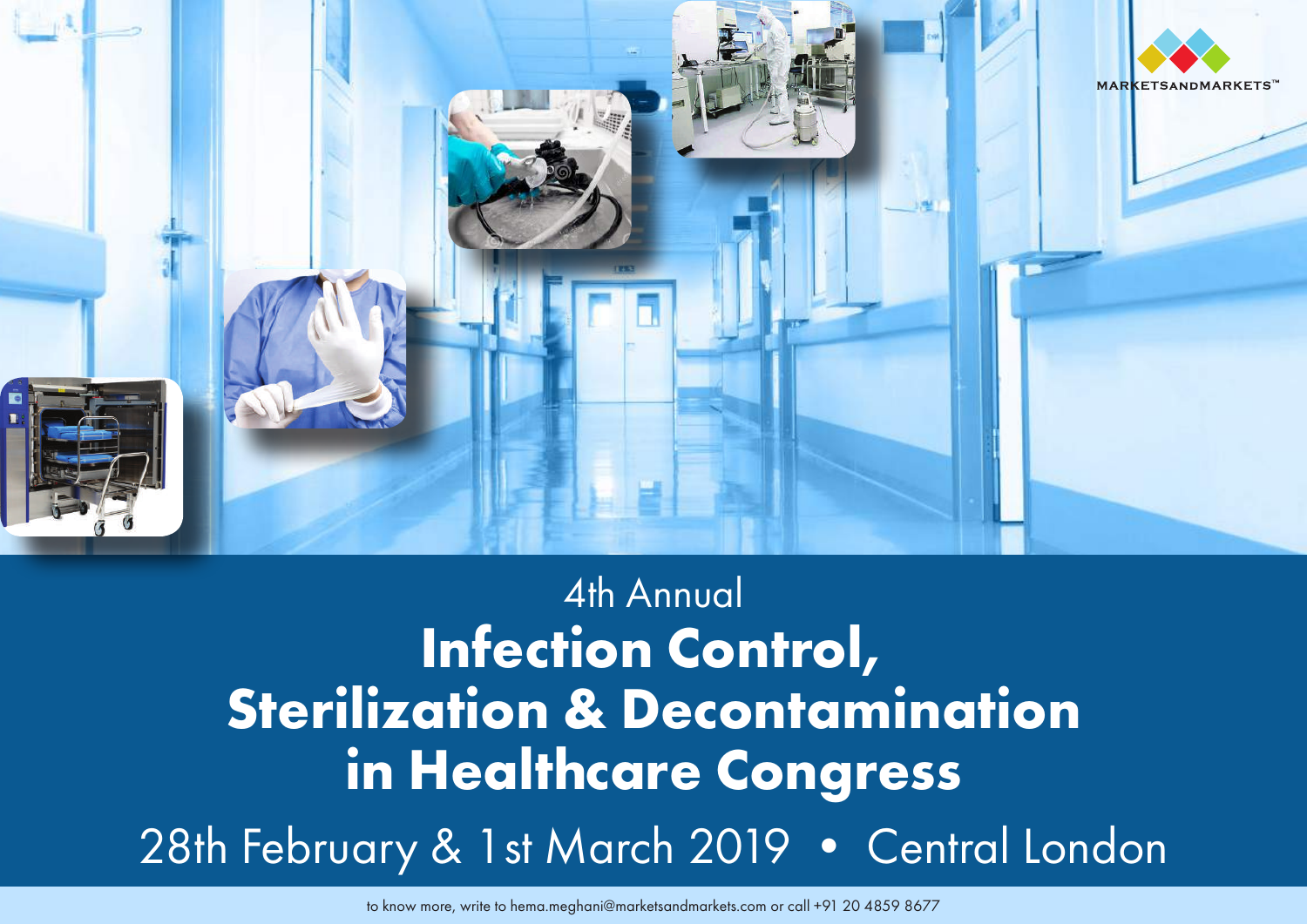

# 4th Annual **Infection Control, Sterilization & Decontamination in Healthcare Congress** 28th February & 1st March 2019 • Central London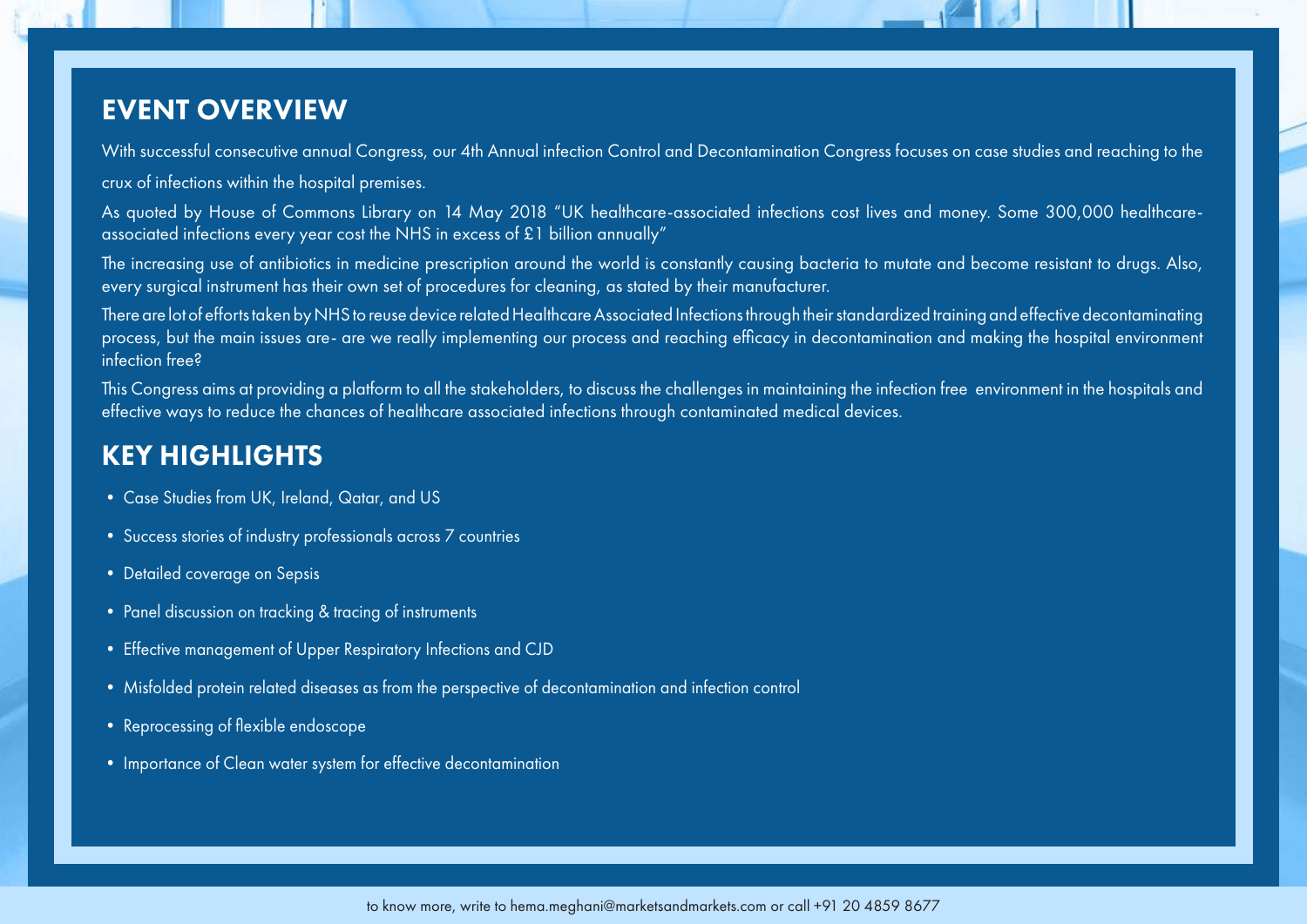### EVENT OVERVIEW

With successful consecutive annual Congress, our 4th Annual infection Control and Decontamination Congress focuses on case studies and reaching to the crux of infections within the hospital premises.

As quoted by House of Commons Library on 14 May 2018 "UK healthcare-associated infections cost lives and money. Some 300,000 healthcareassociated infections every year cost the NHS in excess of £1 billion annually"

The increasing use of antibiotics in medicine prescription around the world is constantly causing bacteria to mutate and become resistant to drugs. Also, every surgical instrument has their own set of procedures for cleaning, as stated by their manufacturer.

There are lot of efforts taken by NHS to reuse device related Healthcare Associated Infections through their standardized training and effective decontaminating process, but the main issues are- are we really implementing our process and reaching efficacy in decontamination and making the hospital environment infection free?

This Congress aims at providing a platform to all the stakeholders, to discuss the challenges in maintaining the infection free environment in the hospitals and effective ways to reduce the chances of healthcare associated infections through contaminated medical devices.

### KEY HIGHLIGHTS

- Case Studies from UK, Ireland, Qatar, and US
- Success stories of industry professionals across 7 countries
- Detailed coverage on Sepsis
- Panel discussion on tracking & tracing of instruments
- Effective management of Upper Respiratory Infections and CJD
- Misfolded protein related diseases as from the perspective of decontamination and infection control
- Reprocessing of flexible endoscope
- Importance of Clean water system for effective decontamination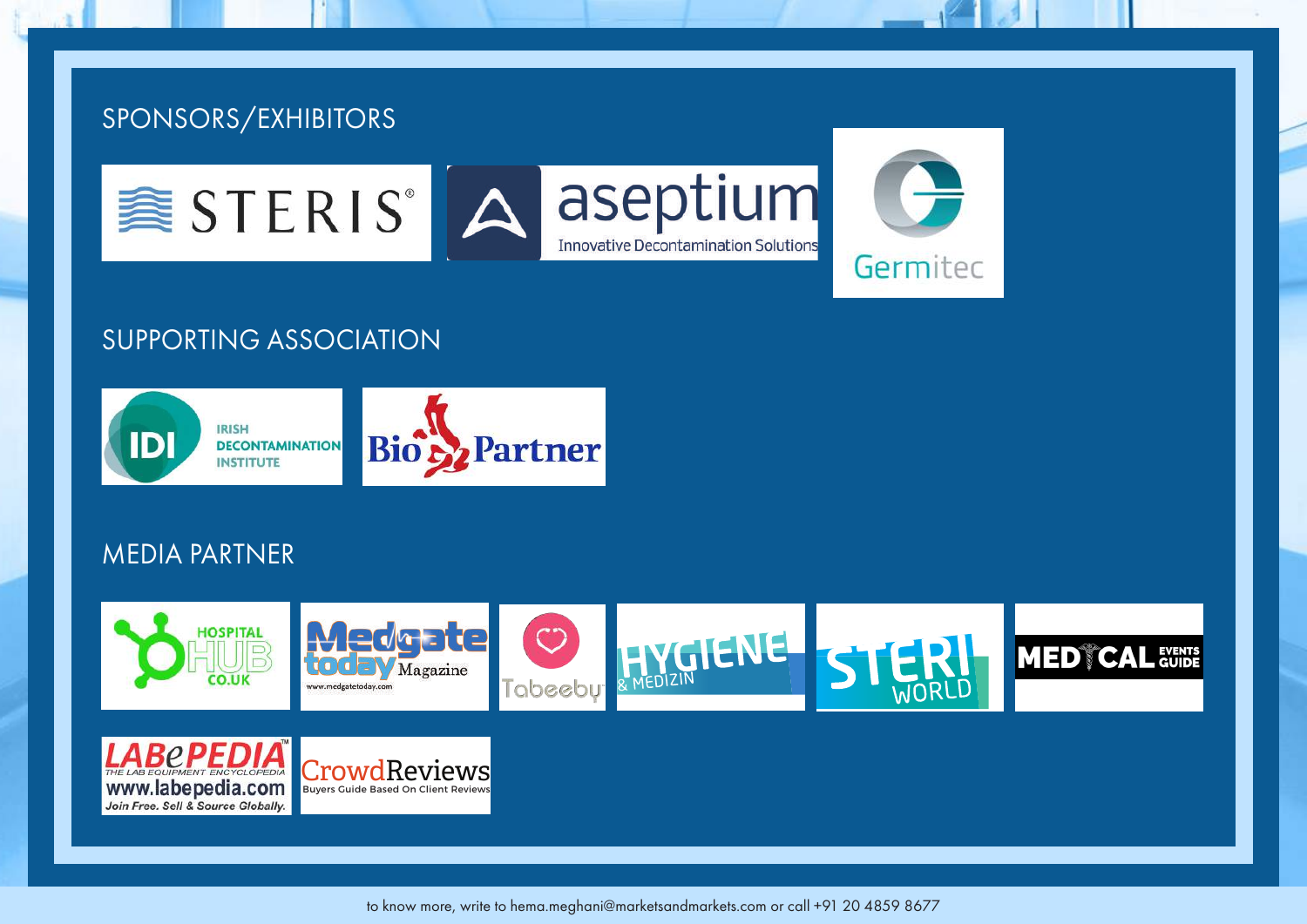

### SUPPORTING ASSOCIATION



### MEDIA PARTNER

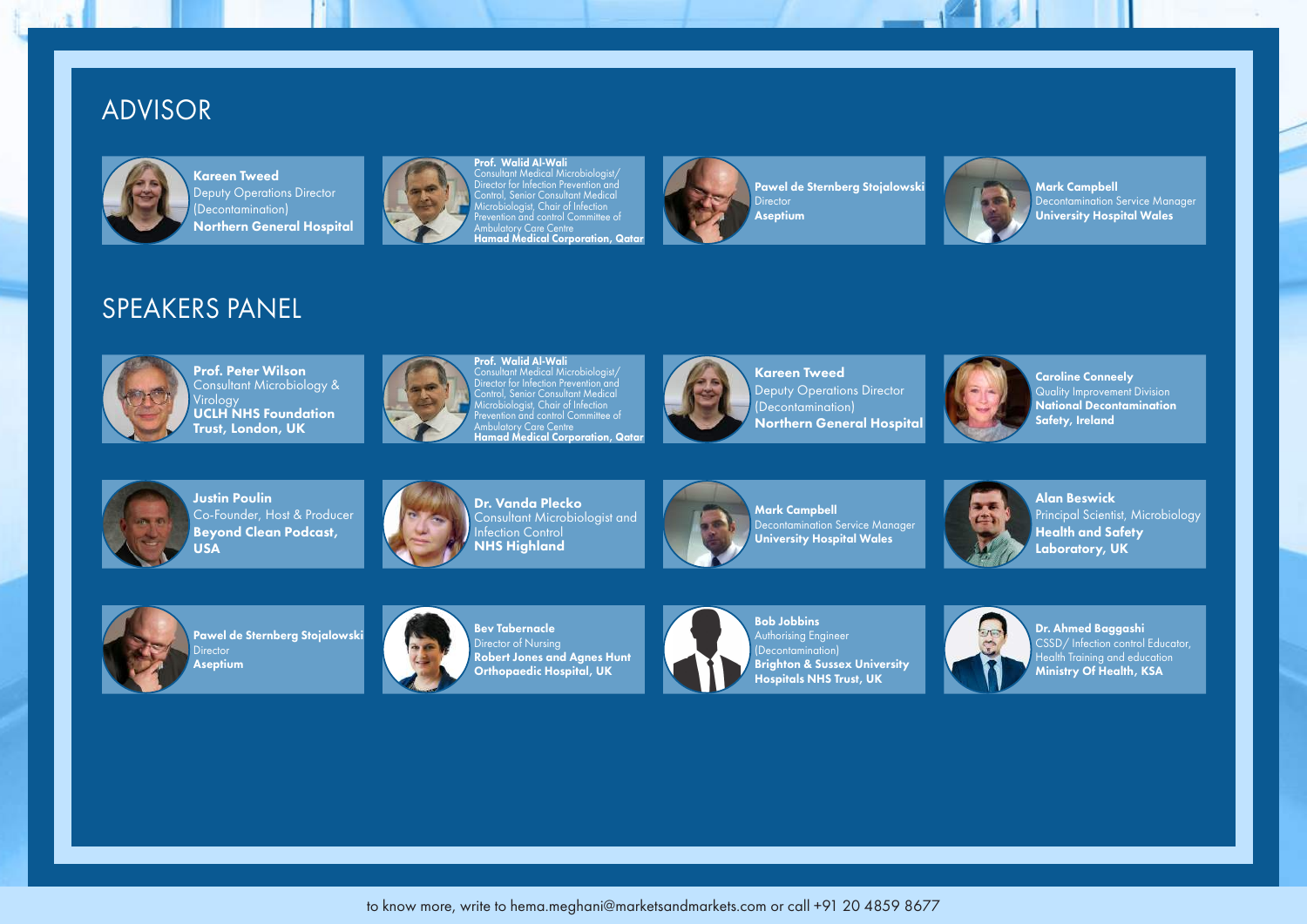### ADVISOR



Kareen Tweed Deputy Operations Director (Decontamination) Northern General Hospital



**Prof. Walid Al-Wali<br>Consultant Medical Microbiologist/**<br>Director for Infection Prevention and<br>Control, Senior Consultant Medical<br>Microbiologist, Chair of Infection Prevention and control Committee ot<br>Ambulatory Care Centre<br>**Hamad Medical Corporation, Qatar** 



Pawel de Sternberg Stojalowski **Director** Aseptium



Mark Campbell Decontamination Service Manager University Hospital Wales

### SPEAKERS PANEL



Prof. Peter Wilson Consultant Microbiology & Virology UCLH NHS Foundation Trust, London, UK



Prof. Walid Al-Wali Consultant Medical Microbiologist/ Director for Infection Prevention and Control, Senior Consultant Medical Microbiologist, Chair of Infection **Prevention** and control Committee of Ambulatory Care Centre<br>**Hamad Medical Corporation, Qatar** 



Kareen Tweed Deputy Operations Director (Decontamination) Northern General Hospital



Caroline Conneely Quality Improvement Division National Decontamination Safety, Ireland



Justin Poulin Co-Founder, Host & Producer Beyond Clean Podcast, USA



Dr. Vanda Plecko Consultant Microbiologist and Infection Control NHS Highland



Mark Campbell Decontamination Service Manager University Hospital Wales



Alan Beswick Principal Scientist, Microbiology Health and Safety Laboratory, UK



Pawel de Sternberg Stojalowski **Director** Aseptium



Bev Tabernacle Director of Nursing Robert Jones and Agnes Hunt Orthopaedic Hospital, UK



Authorising Engineer Brighton & Sussex University Hospitals NHS Trust, UK



Dr. Ahmed Baggashi CSSD/ Infection control Educator, Health Training and education Ministry Of Health, KSA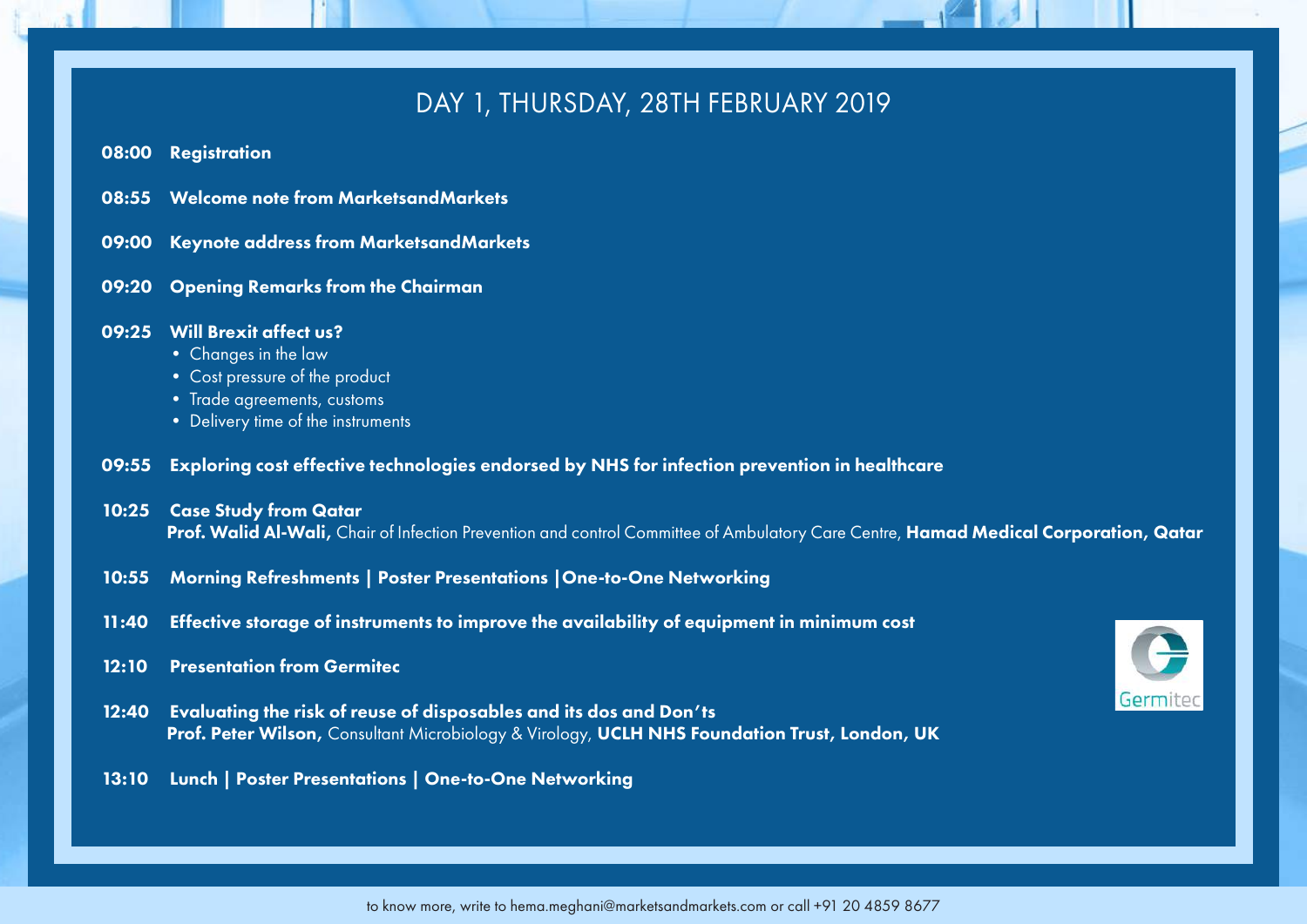### DAY 1, THURSDAY, 28TH FEBRUARY 2019

- 08:00 Registration
- 08:55 Welcome note from MarketsandMarkets
- 09:00 Keynote address from MarketsandMarkets
- 09:20 Opening Remarks from the Chairman

#### 09:25 Will Brexit affect us?

- Changes in the law
- Cost pressure of the product
- Trade agreements, customs
- Delivery time of the instruments

#### 09:55 Exploring cost effective technologies endorsed by NHS for infection prevention in healthcare

#### 10:25 Case Study from Qatar

Prof. Walid Al-Wali, Chair of Infection Prevention and control Committee of Ambulatory Care Centre, Hamad Medical Corporation, Qatar

- 10:55 Morning Refreshments | Poster Presentations |One-to-One Networking
- 11:40 Effective storage of instruments to improve the availability of equipment in minimum cost

#### 12:10 Presentation from Germitec

12:40 Evaluating the risk of reuse of disposables and its dos and Don'ts Prof. Peter Wilson, Consultant Microbiology & Virology, UCLH NHS Foundation Trust, London, UK

#### 13:10 Lunch | Poster Presentations | One-to-One Networking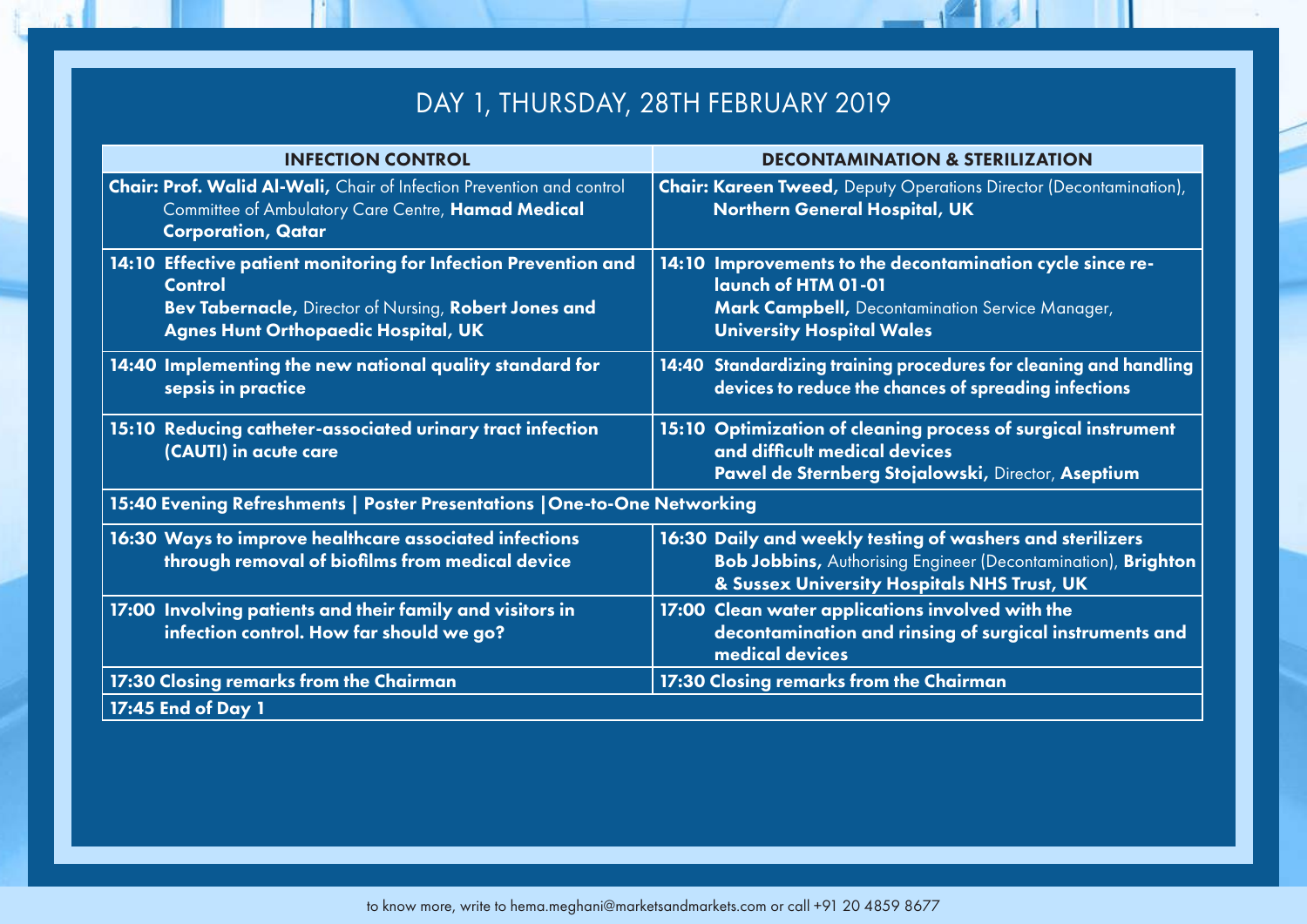# DAY 1, THURSDAY, 28TH FEBRUARY 2019

| <b>INFECTION CONTROL</b>                                                                                                                                                                 | <b>DECONTAMINATION &amp; STERILIZATION</b>                                                                                                                                       |
|------------------------------------------------------------------------------------------------------------------------------------------------------------------------------------------|----------------------------------------------------------------------------------------------------------------------------------------------------------------------------------|
| Chair: Prof. Walid Al-Wali, Chair of Infection Prevention and control<br>Committee of Ambulatory Care Centre, Hamad Medical<br><b>Corporation, Qatar</b>                                 | <b>Chair: Kareen Tweed, Deputy Operations Director (Decontamination),</b><br><b>Northern General Hospital, UK</b>                                                                |
| 14:10 Effective patient monitoring for Infection Prevention and<br><b>Control</b><br>Bev Tabernacle, Director of Nursing, Robert Jones and<br><b>Agnes Hunt Orthopaedic Hospital, UK</b> | 14:10 Improvements to the decontamination cycle since re-<br>launch of HTM 01-01<br>Mark Campbell, Decontamination Service Manager,<br><b>University Hospital Wales</b>          |
| 14:40 Implementing the new national quality standard for<br>sepsis in practice                                                                                                           | 14:40 Standardizing training procedures for cleaning and handling<br>devices to reduce the chances of spreading infections                                                       |
| 15:10 Reducing catheter-associated urinary tract infection<br>(CAUTI) in acute care                                                                                                      | 15:10 Optimization of cleaning process of surgical instrument<br>and difficult medical devices<br>Pawel de Sternberg Stojalowski, Director, Aseptium                             |
| 15:40 Evening Refreshments   Poster Presentations   One-to-One Networking                                                                                                                |                                                                                                                                                                                  |
| 16:30 Ways to improve healthcare associated infections<br>through removal of biofilms from medical device                                                                                | 16:30 Daily and weekly testing of washers and sterilizers<br><b>Bob Jobbins, Authorising Engineer (Decontamination), Brighton</b><br>& Sussex University Hospitals NHS Trust, UK |
| 17:00 Involving patients and their family and visitors in<br>infection control. How far should we go?                                                                                    | 17:00 Clean water applications involved with the<br>decontamination and rinsing of surgical instruments and<br>medical devices                                                   |
| 17:30 Closing remarks from the Chairman                                                                                                                                                  | 17:30 Closing remarks from the Chairman                                                                                                                                          |
| 17:45 End of Day 1                                                                                                                                                                       |                                                                                                                                                                                  |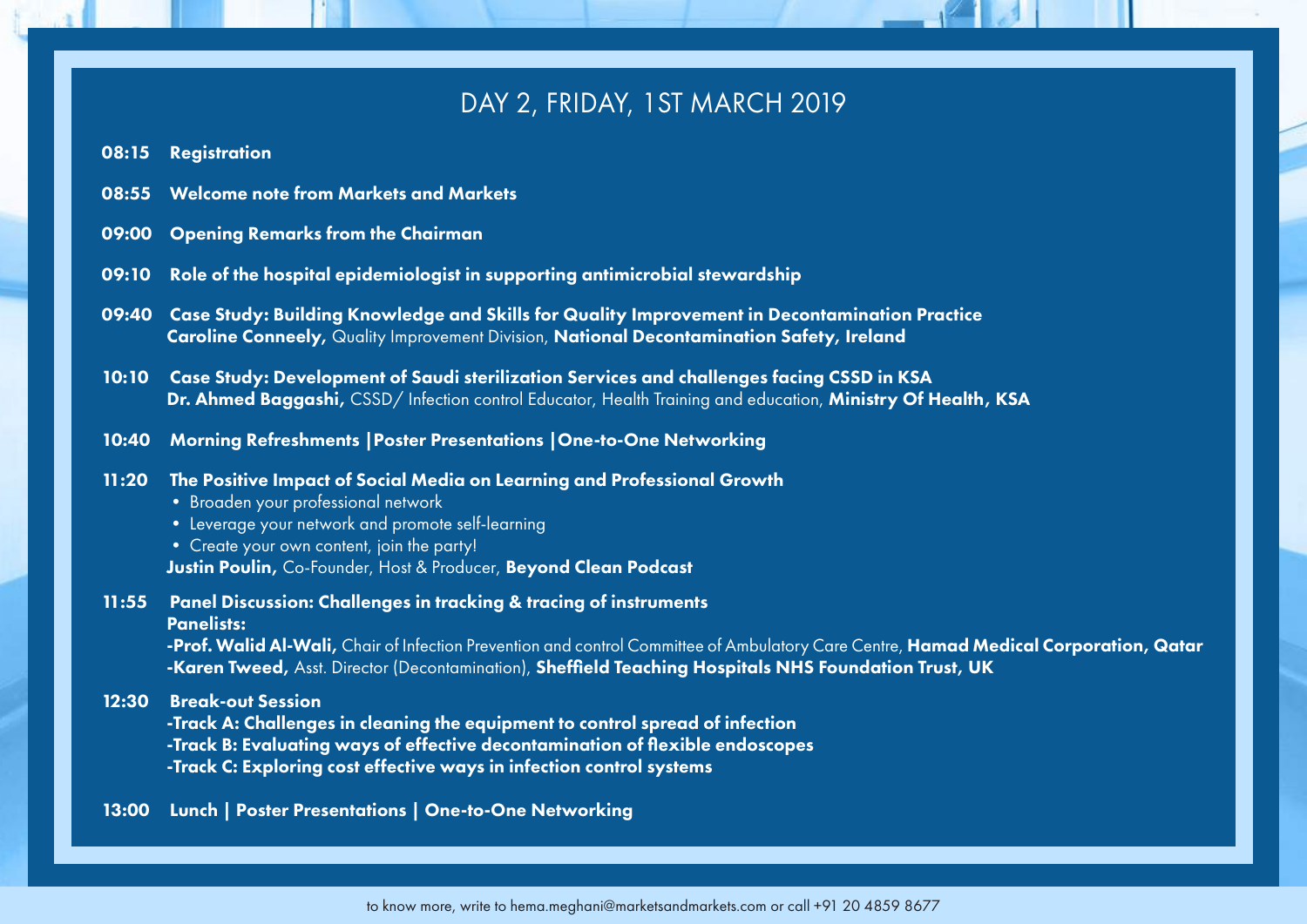### DAY 2, FRIDAY, 1ST MARCH 2019

- 08:15 Registration
- 08:55 Welcome note from Markets and Markets
- 09:00 Opening Remarks from the Chairman
- 09:10 Role of the hospital epidemiologist in supporting antimicrobial stewardship
- 09:40 Case Study: Building Knowledge and Skills for Quality Improvement in Decontamination Practice Caroline Conneely, Quality Improvement Division, National Decontamination Safety, Ireland
- 10:10 Case Study: Development of Saudi sterilization Services and challenges facing CSSD in KSA Dr. Ahmed Baggashi, CSSD/Infection control Educator, Health Training and education, Ministry Of Health, KSA
- 10:40 Morning Refreshments |Poster Presentations |One-to-One Networking
- 11:20 The Positive Impact of Social Media on Learning and Professional Growth
	- Broaden your professional network
	- Leverage your network and promote self-learning
	- Create your own content, join the party! Justin Poulin, Co-Founder, Host & Producer, Beyond Clean Podcast
- 11:55 Panel Discussion: Challenges in tracking & tracing of instruments Panelists:

-Prof. Walid Al-Wali, Chair of Infection Prevention and control Committee of Ambulatory Care Centre, Hamad Medical Corporation, Qatar -Karen Tweed, Asst. Director (Decontamination), Sheffield Teaching Hospitals NHS Foundation Trust, UK

12:30 Break-out Session

-Track A: Challenges in cleaning the equipment to control spread of infection

-Track B: Evaluating ways of effective decontamination of flexible endoscopes

- -Track C: Exploring cost effective ways in infection control systems
- 13:00 Lunch | Poster Presentations | One-to-One Networking